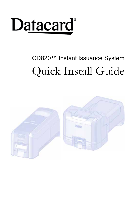

## CD820™ Instant Issuance System Quick Install Guide

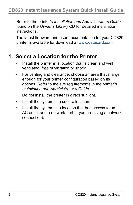Refer to the printer's *Installation and Administrator's Guide*  found on the *Owner's Library* CD for detailed installation instructions.

The latest firmware and user documentation for your CD820 printer is available for download at www.datacard.com.

#### **1. Select a Location for the Printer**

- Install the printer in a location that is clean and well ventilated, free of vibration or shock.
- For venting and clearance, choose an area that's large enough for your printer configuration based on its options. Refer to the site requirements in the printer's *Installation and Administrator's Guide*.
- Do not install the printer in direct sunlight.
- Install the system in a secure location.
- Install the system in a location that has access to an AC outlet and a network port (if you are using a network connection).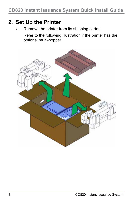#### **2. Set Up the Printer**

a. Remove the printer from its shipping carton.

Refer to the following illustration if the printer has the optional multi-hopper.

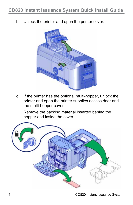b. Unlock the printer and open the printer cover.



c. If the printer has the optional multi-hopper, unlock the printer and open the printer supplies access door and the multi-hopper cover.

Remove the packing material inserted behind the hopper and inside the cover.

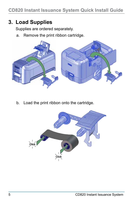#### **3. Load Supplies**

Supplies are ordered separately.

a. Remove the print ribbon cartridge.



b. Load the print ribbon onto the cartridge.

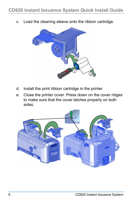c. Load the cleaning sleeve onto the ribbon cartridge.



- d. Install the print ribbon cartridge in the printer.
- e. Close the printer cover. Press down on the cover ridges to make sure that the cover latches properly on both sides.

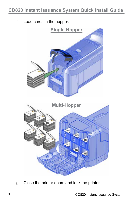f. Load cards in the hopper.



g. Close the printer doors and lock the printer.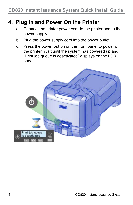#### **4. Plug In and Power On the Printer**

- a. Connect the printer power cord to the printer and to the power supply.
- b. Plug the power supply cord into the power outlet.
- c. Press the power button on the front panel to power on the printer. Wait until the system has powered up and "Print job queue is deactivated" displays on the LCD panel.

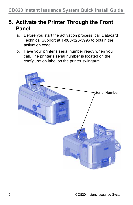#### **5. Activate the Printer Through the Front Panel**

- a. Before you start the activation process, call Datacard Technical Support at 1-800-328-3996 to obtain the activation code.
- b. Have your printer's serial number ready when you call. The printer's serial number is located on the configuration label on the printer swingarm.

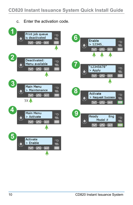c. Enter the activation code.

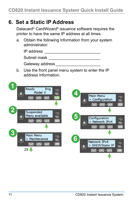#### **6. Set a Static IP Address**

Datacard® CardWizard® issuance software requires the printer to have the same IP address at all times.

a. Obtain the following information from your system administrator:

| IP address                                           |
|------------------------------------------------------|
| Subnet mask                                          |
| Gateway address                                      |
| <u>Llea tha front nanal manu evetam to antar the</u> |

b. Use the front panel menu system to enter the IP address information.

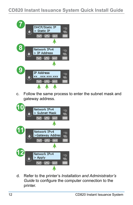

c. Follow the same process to enter the subnet mask and gateway address.



d. Refer to the printer's *Installation and Administrator's Guide* to configure the computer connection to the printer.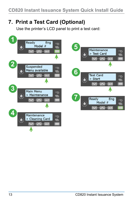### **7. Print a Test Card (Optional)**

Use the printer's LCD panel to print a test card:

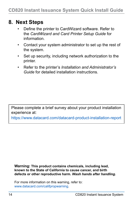#### **8. Next Steps**

- Define the printer to CardWizard software. Refer to the *CardWizard and Card Printer Setup Guide* for information.
- Contact your system administrator to set up the rest of the system.
- Set up security, including network authorization to the printer.
- Refer to the printer's *Installation and Administrator's Guide* for detailed installation instructions.

Please complete a brief survey about your product installation experience at:

https://www.datacard.com/datacard-product-installation-report

**Warning: This product contains chemicals, including lead, known to the State of California to cause cancer, and birth defects or other reproductive harm.** *Wash hands after handling.*

For more information on this warning, refer to: www.datacard.com/califpropwarning.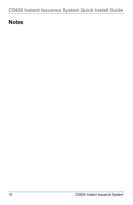#### **Notes**